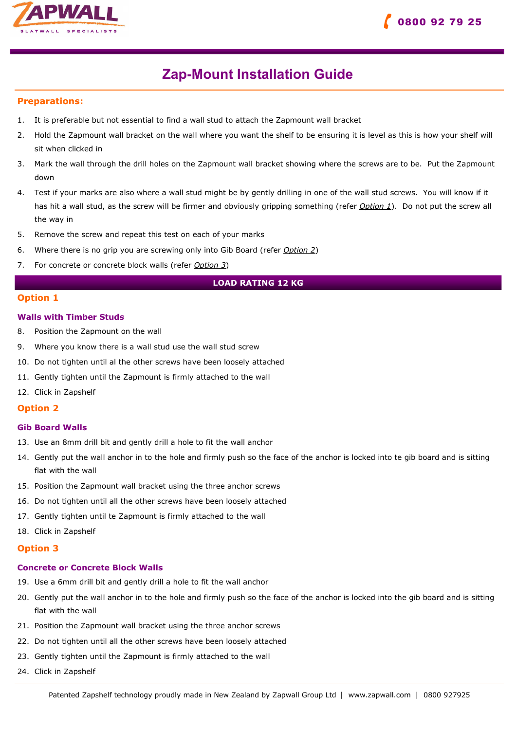



## Zap-Mount Installation Guide

## Preparations:

- 1. It is preferable but not essential to find a wall stud to attach the Zapmount wall bracket
- 2. Hold the Zapmount wall bracket on the wall where you want the shelf to be ensuring it is level as this is how your shelf will sit when clicked in
- 3. Mark the wall through the drill holes on the Zapmount wall bracket showing where the screws are to be. Put the Zapmount down
- 4. Test if your marks are also where a wall stud might be by gently drilling in one of the wall stud screws. You will know if it has hit a wall stud, as the screw will be firmer and obviously gripping something (refer Option 1). Do not put the screw all the way in
- 5. Remove the screw and repeat this test on each of your marks
- 6. Where there is no grip you are screwing only into Gib Board (refer Option 2)
- 7. For concrete or concrete block walls (refer Option 3)

## LOAD RATING 12 KG

## Option 1

### Walls with Timber Studs

- 8. Position the Zapmount on the wall
- 9. Where you know there is a wall stud use the wall stud screw
- 10. Do not tighten until al the other screws have been loosely attached
- 11. Gently tighten until the Zapmount is firmly attached to the wall
- 12. Click in Zapshelf

### Option 2

#### Gib Board Walls

- 13. Use an 8mm drill bit and gently drill a hole to fit the wall anchor
- 14. Gently put the wall anchor in to the hole and firmly push so the face of the anchor is locked into te gib board and is sitting flat with the wall
- 15. Position the Zapmount wall bracket using the three anchor screws
- 16. Do not tighten until all the other screws have been loosely attached
- 17. Gently tighten until te Zapmount is firmly attached to the wall
- 18. Click in Zapshelf

## Option 3

### Concrete or Concrete Block Walls

- 19. Use a 6mm drill bit and gently drill a hole to fit the wall anchor
- 20. Gently put the wall anchor in to the hole and firmly push so the face of the anchor is locked into the gib board and is sitting flat with the wall
- 21. Position the Zapmount wall bracket using the three anchor screws
- 22. Do not tighten until all the other screws have been loosely attached
- 23. Gently tighten until the Zapmount is firmly attached to the wall
- 24. Click in Zapshelf